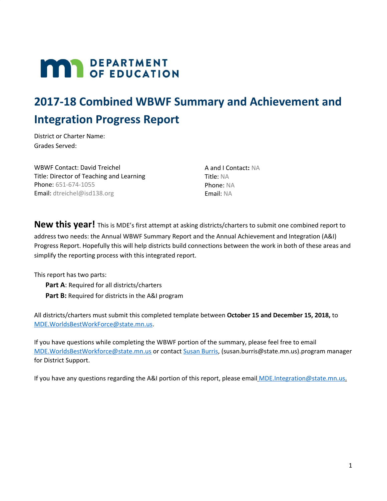# **MAR** DEPARTMENT

# **2017-18 Combined WBWF Summary and Achievement and Integration Progress Report**

District or Charter Name: Grades Served:

WBWF Contact: David Treichel Title: Director of Teaching and Learning Phone: 651-674-1055 Email: dtreichel@isd138.org

A and I Contact**:** NA Title: NA Phone: NA Email: NA

**New this year!** This is MDE's first attempt at asking districts/charters to submit one combined report to address two needs: the Annual WBWF Summary Report and the Annual Achievement and Integration (A&I) Progress Report. Hopefully this will help districts build connections between the work in both of these areas and simplify the reporting process with this integrated report.

This report has two parts:

**Part A**: Required for all districts/charters **Part B:** Required for districts in the A&I program

All districts/charters must submit this completed template between **October 15 and December 15, 2018,** to [MDE.WorldsBestWorkForce@state.mn.us.](mailto:MDE.WorldsBestWorkForce@state.mn.us)

If you have questions while completing the WBWF portion of the summary, please feel free to email [MDE.WorldsBestWorkforce@state.mn.us](mailto:MDE.WorldsBestWorkforce@state.mn.us) or contact [Susan](mailto:susan.burris@state.mn.us) Burris, (susan.burris@state.mn.us).program manager for District Support.

If you have any questions regarding the A&I portion of this report, please email **[MDE.Integration@state.mn.us](mailto:MDE.Integration@state.mn.us).**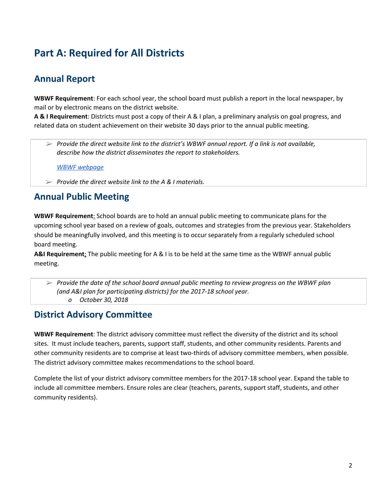# **Part A: Required for All Districts**

# **Annual Report**

**WBWF Requirement**: For each school year, the school board must publish a report in the local newspaper, by mail or by electronic means on the district website.

**A & I Requirement**: Districts must post a copy of their A & I plan, a preliminary analysis on goal progress, and related data on student achievement on their website 30 days prior to the annual public meeting.

➢ *Provide the direct website link to the district's WBWF annual report. If a link is not available, describe how the district disseminates the report to stakeholders.*

*WBWF [webpage](https://mn02210257.schoolwires.net/Page/343)*

➢ *Provide the direct website link to the A & I materials.*

## **Annual Public Meeting**

**WBWF Requirement**: School boards are to hold an annual public meeting to communicate plans for the upcoming school year based on a review of goals, outcomes and strategies from the previous year. Stakeholders should be meaningfully involved, and this meeting is to occur separately from a regularly scheduled school board meeting.

**A&I Requirement**: The public meeting for A & I is to be held at the same time as the WBWF annual public meeting.

➢ *Provide the date of the school board annual public meeting to review progress on the WBWF plan (and A&I plan for participating districts) for the 2017-18 school year. o October 30, 2018*

## **District Advisory Committee**

**WBWF Requirement**: The district advisory committee must reflect the diversity of the district and its school sites. It must include teachers, parents, support staff, students, and other community residents. Parents and other community residents are to comprise at least two-thirds of advisory committee members, when possible. The district advisory committee makes recommendations to the school board.

Complete the list of your district advisory committee members for the 2017-18 school year. Expand the table to include all committee members. Ensure roles are clear (teachers, parents, support staff, students, and other community residents).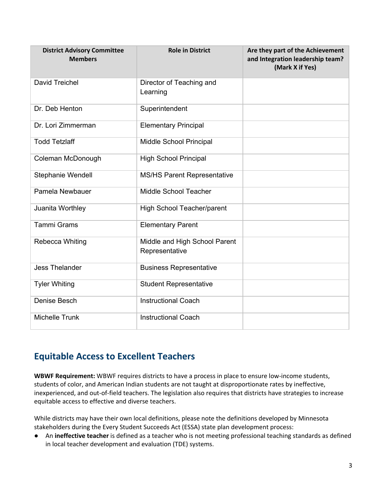| <b>District Advisory Committee</b><br><b>Members</b> | <b>Role in District</b>                         | Are they part of the Achievement<br>and Integration leadership team?<br>(Mark X if Yes) |
|------------------------------------------------------|-------------------------------------------------|-----------------------------------------------------------------------------------------|
| David Treichel                                       | Director of Teaching and<br>Learning            |                                                                                         |
| Dr. Deb Henton                                       | Superintendent                                  |                                                                                         |
| Dr. Lori Zimmerman                                   | <b>Elementary Principal</b>                     |                                                                                         |
| <b>Todd Tetzlaff</b>                                 | Middle School Principal                         |                                                                                         |
| Coleman McDonough                                    | <b>High School Principal</b>                    |                                                                                         |
| Stephanie Wendell                                    | <b>MS/HS Parent Representative</b>              |                                                                                         |
| Pamela Newbauer                                      | Middle School Teacher                           |                                                                                         |
| Juanita Worthley                                     | High School Teacher/parent                      |                                                                                         |
| <b>Tammi Grams</b>                                   | <b>Elementary Parent</b>                        |                                                                                         |
| Rebecca Whiting                                      | Middle and High School Parent<br>Representative |                                                                                         |
| <b>Jess Thelander</b>                                | <b>Business Representative</b>                  |                                                                                         |
| <b>Tyler Whiting</b>                                 | <b>Student Representative</b>                   |                                                                                         |
| Denise Besch                                         | <b>Instructional Coach</b>                      |                                                                                         |
| <b>Michelle Trunk</b>                                | <b>Instructional Coach</b>                      |                                                                                         |

## **Equitable Access to Excellent Teachers**

**WBWF Requirement:** WBWF requires districts to have a process in place to ensure low-income students, students of color, and American Indian students are not taught at disproportionate rates by ineffective, inexperienced, and out-of-field teachers. The legislation also requires that districts have strategies to increase equitable access to effective and diverse teachers.

While districts may have their own local definitions, please note the definitions developed by Minnesota stakeholders during the Every Student Succeeds Act (ESSA) state plan development process:

● An **ineffective teacher** is defined as a teacher who is not meeting professional teaching standards as defined in local teacher development and evaluation (TDE) systems.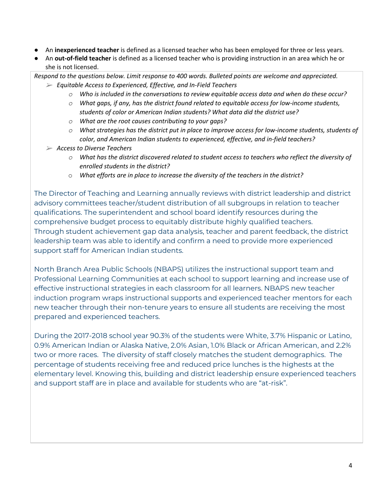- An **inexperienced teacher** is defined as a licensed teacher who has been employed for three or less years.
- An **out-of-field teacher** is defined as a licensed teacher who is providing instruction in an area which he or she is not licensed.

*Respond to the questions below. Limit response to 400 words. Bulleted points are welcome and appreciated.* ➢ *Equitable Access to Experienced, Effective, and In-Field Teachers*

- *o Who is included in the conversations to review equitable access data and when do these occur?*
- *o What gaps, if any, has the district found related to equitable access for low-income students, students of color or American Indian students? What data did the district use?*
- *o What are the root causes contributing to your gaps?*
- *o What strategies has the district put in place to improve access for low-income students, students of color, and American Indian students to experienced, effective, and in-field teachers?*
- ➢ *Access to Diverse Teachers*
	- *o What has the district discovered related to student access to teachers who reflect the diversity of enrolled students in the district?*
	- o *What efforts are in place to increase the diversity of the teachers in the district?*

The Director of Teaching and Learning annually reviews with district leadership and district advisory committees teacher/student distribution of all subgroups in relation to teacher qualifications. The superintendent and school board identify resources during the comprehensive budget process to equitably distribute highly qualified teachers. Through student achievement gap data analysis, teacher and parent feedback, the district leadership team was able to identify and confirm a need to provide more experienced support staff for American Indian students.

North Branch Area Public Schools (NBAPS) utilizes the instructional support team and Professional Learning Communities at each school to support learning and increase use of effective instructional strategies in each classroom for all learners. NBAPS new teacher induction program wraps instructional supports and experienced teacher mentors for each new teacher through their non-tenure years to ensure all students are receiving the most prepared and experienced teachers.

During the 2017-2018 school year 90.3% of the students were White, 3.7% Hispanic or Latino, 0.9% American Indian or Alaska Native, 2.0% Asian, 1.0% Black or African American, and 2.2% two or more races. The diversity of staff closely matches the student demographics. The percentage of students receiving free and reduced price lunches is the highests at the elementary level. Knowing this, building and district leadership ensure experienced teachers and support staff are in place and available for students who are "at-risk".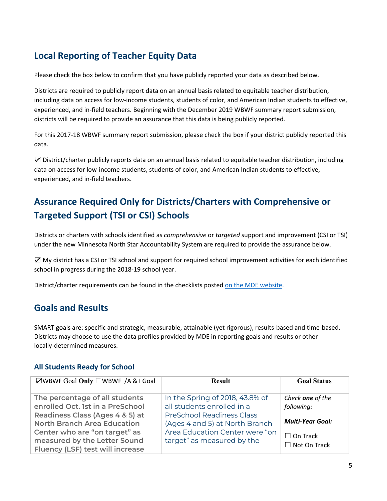# **Local Reporting of Teacher Equity Data**

Please check the box below to confirm that you have publicly reported your data as described below.

Districts are required to publicly report data on an annual basis related to equitable teacher distribution, including data on access for low-income students, students of color, and American Indian students to effective, experienced, and in-field teachers. Beginning with the December 2019 WBWF summary report submission, districts will be required to provide an assurance that this data is being publicly reported.

For this 2017-18 WBWF summary report submission, please check the box if your district publicly reported this data.

☑ District/charter publicly reports data on an annual basis related to equitable teacher distribution, including data on access for low-income students, students of color, and American Indian students to effective, experienced, and in-field teachers.

# **Assurance Required Only for Districts/Charters with Comprehensive or Targeted Support (TSI or CSI) Schools**

Districts or charters with schools identified as *comprehensive* or *targeted* support and improvement (CSI or TSI) under the new Minnesota North Star Accountability System are required to provide the assurance below.

☑ My district has a CSI or TSI school and support for required school improvement activities for each identified school in progress during the 2018-19 school year.

District/charter requirements can be found in the checklists posted on the MDE [website](https://education.mn.gov/MDE/dse/account/res/).

## **Goals and Results**

SMART goals are: specific and strategic, measurable, attainable (yet rigorous), results-based and time-based. Districts may choose to use the data profiles provided by MDE in reporting goals and results or other locally-determined measures.

#### **All Students Ready for School**

| $\Box$ WBWF Goal Only $\Box$ WBWF /A & I Goal | <b>Result</b>                    | <b>Goal Status</b>      |
|-----------------------------------------------|----------------------------------|-------------------------|
| The percentage of all students                | In the Spring of 2018, 43.8% of  | Check one of the        |
| enrolled Oct. 1st in a PreSchool              | all students enrolled in a       | following:              |
| Readiness Class (Ages 4 & 5) at               | <b>PreSchool Readiness Class</b> |                         |
| <b>North Branch Area Education</b>            | (Ages 4 and 5) at North Branch   | <b>Multi-Year Goal:</b> |
| Center who are "on target" as                 | Area Education Center were "on   | $\Box$ On Track         |
| measured by the Letter Sound                  | target" as measured by the       | $\Box$ Not On Track     |
| Fluency (LSF) test will increase              |                                  |                         |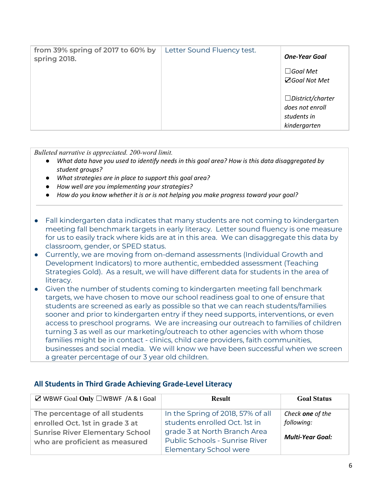| from 39% spring of 2017 to 60% by<br>spring 2018. | Letter Sound Fluency test. | <b>One-Year Goal</b>                                                      |
|---------------------------------------------------|----------------------------|---------------------------------------------------------------------------|
|                                                   |                            | $\Box$ Goal Met<br><b>⊠Goal Not Met</b>                                   |
|                                                   |                            | $\Box$ District/charter<br>does not enroll<br>students in<br>kindergarten |

*Bulleted narrative is appreciated. 200-word limit.*

- What data have you used to identify needs in this goal area? How is this data disaggregated by *student groups?*
- *● What strategies are in place to support this goal area?*
- *● How well are you implementing your strategies?*
- *● How do you know whether it is or is not helping you make progress toward your goal?*
- Fall kindergarten data indicates that many students are not coming to kindergarten meeting fall benchmark targets in early literacy. Letter sound fluency is one measure for us to easily track where kids are at in this area. We can disaggregate this data by classroom, gender, or SPED status.
- Currently, we are moving from on-demand assessments (Individual Growth and Development Indicators) to more authentic, embedded assessment (Teaching Strategies Gold). As a result, we will have different data for students in the area of literacy.
- Given the number of students coming to kindergarten meeting fall benchmark targets, we have chosen to move our school readiness goal to one of ensure that students are screened as early as possible so that we can reach students/families sooner and prior to kindergarten entry if they need supports, interventions, or even access to preschool programs. We are increasing our outreach to families of children turning 3 as well as our marketing/outreach to other agencies with whom those families might be in contact - clinics, child care providers, faith communities, businesses and social media. We will know we have been successful when we screen a greater percentage of our 3 year old children.

| $\boxtimes$ WBWF Goal Only $\square$ WBWF /A & I Goal | <b>Result</b>                     | <b>Goal Status</b>      |
|-------------------------------------------------------|-----------------------------------|-------------------------|
| The percentage of all students                        | In the Spring of 2018, 57% of all | Check one of the        |
| enrolled Oct. 1st in grade 3 at                       | students enrolled Oct. 1st in     | following:              |
| <b>Sunrise River Elementary School</b>                | grade 3 at North Branch Area      |                         |
| who are proficient as measured                        | Public Schools - Sunrise River    | <b>Multi-Year Goal:</b> |
|                                                       | Elementary School were            |                         |

#### **All Students in Third Grade Achieving Grade-Level Literacy**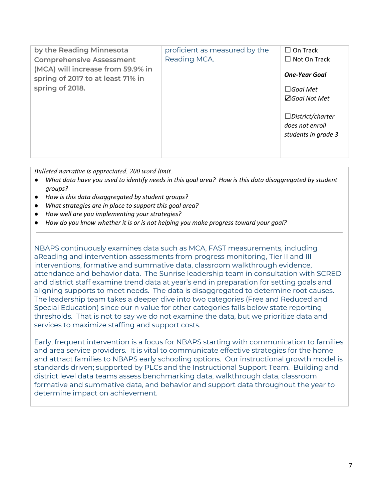| by the Reading Minnesota                                               | proficient as measured by the | $\Box$ On Track                                                   |
|------------------------------------------------------------------------|-------------------------------|-------------------------------------------------------------------|
| <b>Comprehensive Assessment</b>                                        | Reading MCA.                  | $\Box$ Not On Track                                               |
| (MCA) will increase from 59.9% in<br>spring of 2017 to at least 71% in |                               | <b>One-Year Goal</b>                                              |
| spring of 2018.                                                        |                               | $\Box$ Goal Met                                                   |
|                                                                        |                               | <b>⊠Goal Not Met</b>                                              |
|                                                                        |                               | $\Box$ District/charter<br>does not enroll<br>students in grade 3 |

*Bulleted narrative is appreciated. 200 word limit.*

- What data have you used to identify needs in this goal area? How is this data disaggregated by student *groups?*
- *● How is this data disaggregated by student groups?*
- *● What strategies are in place to support this goal area?*
- *● How well are you implementing your strategies?*
- *● How do you know whether it is or is not helping you make progress toward your goal?*

NBAPS continuously examines data such as MCA, FAST measurements, including aReading and intervention assessments from progress monitoring, Tier II and III interventions, formative and summative data, classroom walkthrough evidence, attendance and behavior data. The Sunrise leadership team in consultation with SCRED and district staff examine trend data at year's end in preparation for setting goals and aligning supports to meet needs. The data is disaggregated to determine root causes. The leadership team takes a deeper dive into two categories (Free and Reduced and Special Education) since our n value for other categories falls below state reporting thresholds. That is not to say we do not examine the data, but we prioritize data and services to maximize staffing and support costs.

Early, frequent intervention is a focus for NBAPS starting with communication to families and area service providers. It is vital to communicate effective strategies for the home and attract families to NBAPS early schooling options. Our instructional growth model is standards driven; supported by PLCs and the Instructional Support Team. Building and district level data teams assess benchmarking data, walkthrough data, classroom formative and summative data, and behavior and support data throughout the year to determine impact on achievement.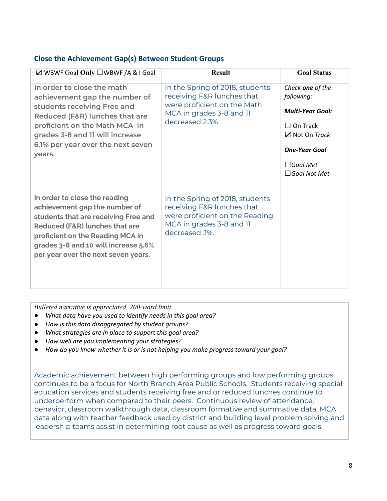#### **Close the Achievement Gap(s) Between Student Groups**

| ⊠ WBWF Goal Only □WBWF /A & I Goal                                                                                                                                                                                                                          | <b>Result</b>                                                                                                                                 | <b>Goal Status</b>                                                                                                                                               |
|-------------------------------------------------------------------------------------------------------------------------------------------------------------------------------------------------------------------------------------------------------------|-----------------------------------------------------------------------------------------------------------------------------------------------|------------------------------------------------------------------------------------------------------------------------------------------------------------------|
| In order to close the math<br>achievement gap the number of<br>students receiving Free and<br>Reduced (F&R) lunches that are<br>proficient on the Math MCA in<br>grades 3-8 and 11 will increase<br>6.1% per year over the next seven<br>years.             | In the Spring of 2018, students<br>receiving F&R lunches that<br>were proficient on the Math<br>MCA in grades 3-8 and 11<br>decreased 2.3%    | Check one of the<br>following:<br><b>Multi-Year Goal:</b><br>$\Box$ On Track<br>⊠ Not On Track<br><b>One-Year Goal</b><br>$\Box$ Goal Met<br>$\Box$ Goal Not Met |
| In order to close the reading<br>achievement gap the number of<br>students that are receiving Free and<br>Reduced (F&R) lunches that are<br>proficient on the Reading MCA in<br>grades 3-8 and 10 will increase 5.6%<br>per year over the next seven years. | In the Spring of 2018, students<br>receiving F&R lunches that<br>were proficient on the Reading<br>MCA in grades 3-8 and 11<br>decreased .1%. |                                                                                                                                                                  |

*Bulleted narrative is appreciated. 200-word limit.*

- *● What data have you used to identify needs in this goal area?*
- *● How is this data disaggregated by student groups?*
- *● What strategies are in place to support this goal area?*
- *● How well are you implementing your strategies?*
- *● How do you know whether it is or is not helping you make progress toward your goal?*

Academic achievement between high performing groups and low performing groups continues to be a focus for North Branch Area Public Schools. Students receiving special education services and students receiving free and or reduced lunches continue to underperform when compared to their peers. Continuous review of attendance, behavior, classroom walkthrough data, classroom formative and summative data, MCA data along with teacher feedback used by district and building level problem solving and leadership teams assist in determining root cause as well as progress toward goals.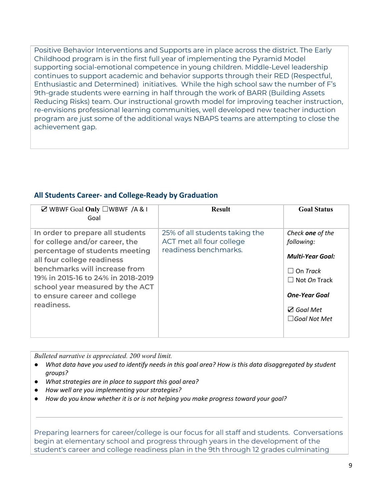Positive Behavior Interventions and Supports are in place across the district. The Early Childhood program is in the first full year of implementing the Pyramid Model supporting social-emotional competence in young children. Middle-Level leadership continues to support academic and behavior supports through their RED (Respectful, Enthusiastic and Determined) initiatives. While the high school saw the number of F's 9th-grade students were earning in half through the work of BARR (Building Assets Reducing Risks) team. Our instructional growth model for improving teacher instruction, re-envisions professional learning communities, well developed new teacher induction program are just some of the additional ways NBAPS teams are attempting to close the achievement gap.

#### **All Students Career- and College-Ready by Graduation**

| $\boxtimes$ WBWF Goal Only $\square$ WBWF /A & I<br>Goal                                                                                                                                                                                                                                   | <b>Result</b>                                                                       | <b>Goal Status</b>                                                                                                                                                        |
|--------------------------------------------------------------------------------------------------------------------------------------------------------------------------------------------------------------------------------------------------------------------------------------------|-------------------------------------------------------------------------------------|---------------------------------------------------------------------------------------------------------------------------------------------------------------------------|
| In order to prepare all students<br>for college and/or career, the<br>percentage of students meeting<br>all four college readiness<br>benchmarks will increase from<br>19% in 2015-16 to 24% in 2018-2019<br>school year measured by the ACT<br>to ensure career and college<br>readiness. | 25% of all students taking the<br>ACT met all four college<br>readiness benchmarks. | Check one of the<br>following:<br><b>Multi-Year Goal:</b><br>$\Box$ On Track<br>$\Box$ Not On Track<br><b>One-Year Goal</b><br>$\sqrt{ }$ Goal Met<br>$\Box$ Goal Not Met |

*Bulleted narrative is appreciated. 200 word limit.*

- What data have you used to identify needs in this goal area? How is this data disaggregated by student *groups?*
- *● What strategies are in place to support this goal area?*
- *● How well are you implementing your strategies?*
- *● How do you know whether it is or is not helping you make progress toward your goal?*

Preparing learners for career/college is our focus for all staff and students. Conversations begin at elementary school and progress through years in the development of the student's career and college readiness plan in the 9th through 12 grades culminating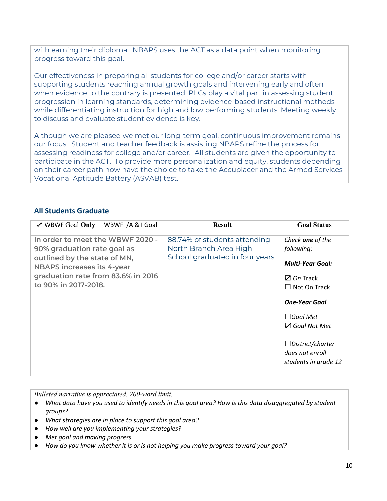with earning their diploma. NBAPS uses the ACT as a data point when monitoring progress toward this goal.

Our effectiveness in preparing all students for college and/or career starts with supporting students reaching annual growth goals and intervening early and often when evidence to the contrary is presented. PLCs play a vital part in assessing student progression in learning standards, determining evidence-based instructional methods while differentiating instruction for high and low performing students. Meeting weekly to discuss and evaluate student evidence is key.

Although we are pleased we met our long-term goal, continuous improvement remains our focus. Student and teacher feedback is assisting NBAPS refine the process for assessing readiness for college and/or career. All students are given the opportunity to participate in the ACT. To provide more personalization and equity, students depending on their career path now have the choice to take the Accuplacer and the Armed Services Vocational Aptitude Battery (ASVAB) test.

#### **All Students Graduate**

| $\boxtimes$ WBWF Goal Only $\square$ WBWF /A & I Goal                                                                                                                                              | <b>Result</b>                                                                            | <b>Goal Status</b>                                                                                                                                                                                                                                        |
|----------------------------------------------------------------------------------------------------------------------------------------------------------------------------------------------------|------------------------------------------------------------------------------------------|-----------------------------------------------------------------------------------------------------------------------------------------------------------------------------------------------------------------------------------------------------------|
| In order to meet the WBWF 2020 -<br>90% graduation rate goal as<br>outlined by the state of MN,<br><b>NBAPS</b> increases its 4-year<br>graduation rate from 83.6% in 2016<br>to 90% in 2017-2018. | 88.74% of students attending<br>North Branch Area High<br>School graduated in four years | Check one of the<br>following:<br><b>Multi-Year Goal:</b><br>$\mathbb Z$ On Track<br>$\Box$ Not On Track<br><b>One-Year Goal</b><br>$\Box$ Goal Met<br>$\triangledown$ Goal Not Met<br>$\Box$ District/charter<br>does not enroll<br>students in grade 12 |
|                                                                                                                                                                                                    |                                                                                          |                                                                                                                                                                                                                                                           |

*Bulleted narrative is appreciated. 200-word limit.*

- What data have you used to identify needs in this goal area? How is this data disaggregated by student *groups?*
- *● What strategies are in place to support this goal area?*
- *● How well are you implementing your strategies?*
- *● Met goal and making progress*
- *● How do you know whether it is or is not helping you make progress toward your goal?*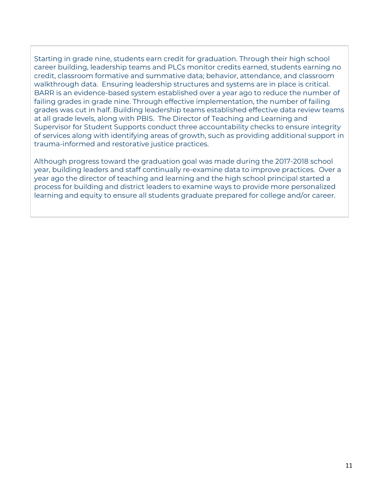Starting in grade nine, students earn credit for graduation. Through their high school career building, leadership teams and PLCs monitor credits earned, students earning no credit, classroom formative and summative data; behavior, attendance, and classroom walkthrough data. Ensuring leadership structures and systems are in place is critical. BARR is an evidence-based system established over a year ago to reduce the number of failing grades in grade nine. Through effective implementation, the number of failing grades was cut in half. Building leadership teams established effective data review teams at all grade levels, along with PBIS. The Director of Teaching and Learning and Supervisor for Student Supports conduct three accountability checks to ensure integrity of services along with identifying areas of growth, such as providing additional support in trauma-informed and restorative justice practices.

Although progress toward the graduation goal was made during the 2017-2018 school year, building leaders and staff continually re-examine data to improve practices. Over a year ago the director of teaching and learning and the high school principal started a process for building and district leaders to examine ways to provide more personalized learning and equity to ensure all students graduate prepared for college and/or career.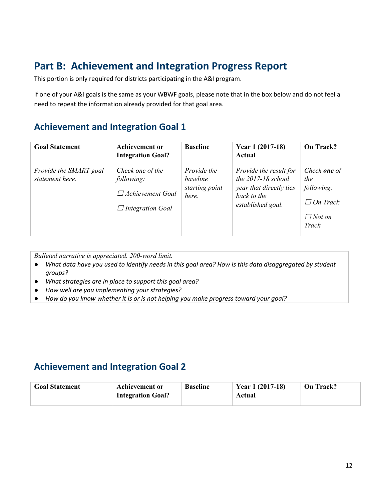# **Part B: Achievement and Integration Progress Report**

This portion is only required for districts participating in the A&I program.

If one of your A&I goals is the same as your WBWF goals, please note that in the box below and do not feel a need to repeat the information already provided for that goal area.

## **Achievement and Integration Goal 1**

| <b>Goal Statement</b>                     | <b>Achievement or</b><br><b>Integration Goal?</b>                                    | <b>Baseline</b>                                    | Year 1 (2017-18)<br>Actual                                                                                      | On Track?                                                                             |
|-------------------------------------------|--------------------------------------------------------------------------------------|----------------------------------------------------|-----------------------------------------------------------------------------------------------------------------|---------------------------------------------------------------------------------------|
| Provide the SMART goal<br>statement here. | Check one of the<br>following:<br>$\Box$ Achievement Goal<br>$\Box$ Integration Goal | Provide the<br>baseline<br>starting point<br>here. | Provide the result for<br>the $2017 - 18$ school<br>year that directly ties<br>back to the<br>established goal. | Check <b>one</b> of<br>the<br>following:<br>$\Box$ On Track<br>$\Box$ Not on<br>Track |

*Bulleted narrative is appreciated. 200-word limit.*

- What data have you used to identify needs in this goal area? How is this data disaggregated by student *groups?*
- *● What strategies are in place to support this goal area?*
- *● How well are you implementing your strategies?*
- *● How do you know whether it is or is not helping you make progress toward your goal?*

# **Achievement and Integration Goal 2**

| <b>Goal Statement</b> | Achievement or<br><b>Integration Goal?</b> | <b>Baseline</b> | Year 1 (2017-18)<br>Actual | On Track? |
|-----------------------|--------------------------------------------|-----------------|----------------------------|-----------|
|-----------------------|--------------------------------------------|-----------------|----------------------------|-----------|